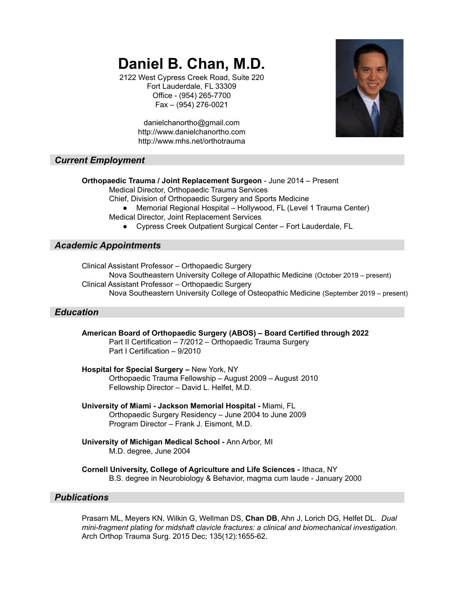# **Daniel B. Chan, M.D.**

2122 West Cypress Creek Road, Suite 220 Fort Lauderdale, FL 33309 Office - (954) 265-7700 Fax – (954) 276-0021



danielchanortho@gmail.com http://www.danielchanortho.com http://www.mhs.net/orthotrauma

# *Current Employment*

**Orthopaedic Trauma / Joint Replacement Surgeon** - June 2014 – Present

Medical Director, Orthopaedic Trauma Services

Chief, Division of Orthopaedic Surgery and Sports Medicine

- Memorial Regional Hospital Hollywood, FL (Level 1 Trauma Center) Medical Director, Joint Replacement Services
	- Cypress Creek Outpatient Surgical Center Fort Lauderdale, FL

# *Academic Appointments*

Clinical Assistant Professor – Orthopaedic Surgery Nova Southeastern University College of Allopathic Medicine (October 2019 – present) Clinical Assistant Professor – Orthopaedic Surgery Nova Southeastern University College of Osteopathic Medicine (September 2019 – present)

# *Education*

**American Board of Orthopaedic Surgery (ABOS) – Board Certified through 2022** Part II Certification – 7/2012 – Orthopaedic Trauma Surgery Part I Certification – 9/2010

#### **Hospital for Special Surgery –** New York, NY Orthopaedic Trauma Fellowship – August 2009 – August 2010 Fellowship Director – David L. Helfet, M.D.

**University of Miami - Jackson Memorial Hospital -** Miami, FL Orthopaedic Surgery Residency – June 2004 to June 2009 Program Director – Frank J. Eismont, M.D.

- **University of Michigan Medical School -** Ann Arbor, MI M.D. degree, June 2004
- **Cornell University, College of Agriculture and Life Sciences -** Ithaca, NY B.S. degree in Neurobiology & Behavior, magma cum laude - January 2000

# *Publications*

Prasarn ML, Meyers KN, Wilkin G, Wellman DS, **Chan DB**, Ahn J, Lorich DG, Helfet DL. *Dual mini-fragment plating for midshaft clavicle fractures: a clinical and biomechanical investigation*. Arch Orthop Trauma Surg. 2015 Dec; 135(12):1655-62.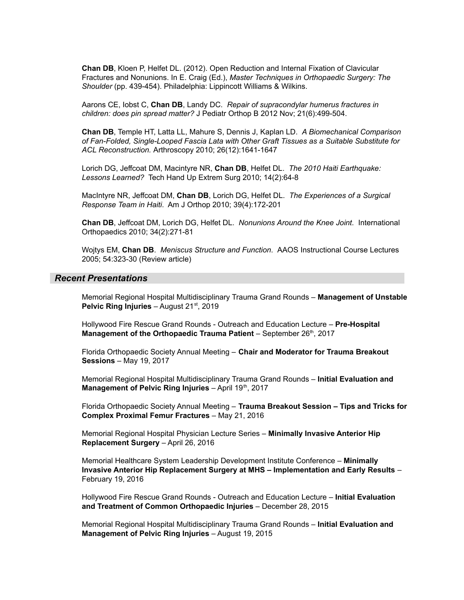**Chan DB**, Kloen P, Helfet DL. (2012). Open Reduction and Internal Fixation of Clavicular Fractures and Nonunions. In E. Craig (Ed.), *Master Techniques in Orthopaedic Surgery: The Shoulder* (pp. 439-454). Philadelphia: Lippincott Williams & Wilkins.

Aarons CE, Iobst C, **Chan DB**, Landy DC. *Repair of supracondylar humerus fractures in children: does pin spread matter?* J Pediatr Orthop B 2012 Nov; 21(6):499-504.

**Chan DB**, Temple HT, Latta LL, Mahure S, Dennis J, Kaplan LD. *A Biomechanical Comparison of Fan-Folded, Single-Looped Fascia Lata with Other Graft Tissues as a Suitable Substitute for ACL Reconstruction.* Arthroscopy 2010; 26(12):1641-1647

Lorich DG, Jeffcoat DM, Macintyre NR, **Chan DB**, Helfet DL. *The 2010 Haiti Earthquake: Lessons Learned?* Tech Hand Up Extrem Surg 2010; 14(2):64-8

MacIntyre NR, Jeffcoat DM, **Chan DB**, Lorich DG, Helfet DL. *The Experiences of a Surgical Response Team in Haiti*. Am J Orthop 2010; 39(4):172-201

**Chan DB**, Jeffcoat DM, Lorich DG, Helfet DL. *Nonunions Around the Knee Joint*. International Orthopaedics 2010; 34(2):271-81

Wojtys EM, **Chan DB**. *Meniscus Structure and Function*. AAOS Instructional Course Lectures 2005; 54:323-30 (Review article)

#### *Recent Presentations*

Memorial Regional Hospital Multidisciplinary Trauma Grand Rounds – **Management of Unstable Pelvic Ring Injuries** – August 21<sup>st</sup>, 2019

Hollywood Fire Rescue Grand Rounds - Outreach and Education Lecture – **Pre-Hospital Management of the Orthopaedic Trauma Patient – September 26<sup>th</sup>, 2017** 

Florida Orthopaedic Society Annual Meeting – **Chair and Moderator for Trauma Breakout Sessions** – May 19, 2017

Memorial Regional Hospital Multidisciplinary Trauma Grand Rounds – **Initial Evaluation and Management of Pelvic Ring Injuries** – April 19 th , 2017

Florida Orthopaedic Society Annual Meeting – **Trauma Breakout Session – Tips and Tricks for Complex Proximal Femur Fractures** – May 21, 2016

Memorial Regional Hospital Physician Lecture Series – **Minimally Invasive Anterior Hip Replacement Surgery** – April 26, 2016

Memorial Healthcare System Leadership Development Institute Conference – **Minimally Invasive Anterior Hip Replacement Surgery at MHS – Implementation and Early Results** – February 19, 2016

Hollywood Fire Rescue Grand Rounds - Outreach and Education Lecture – **Initial Evaluation and Treatment of Common Orthopaedic Injuries** – December 28, 2015

Memorial Regional Hospital Multidisciplinary Trauma Grand Rounds – **Initial Evaluation and Management of Pelvic Ring Injuries** – August 19, 2015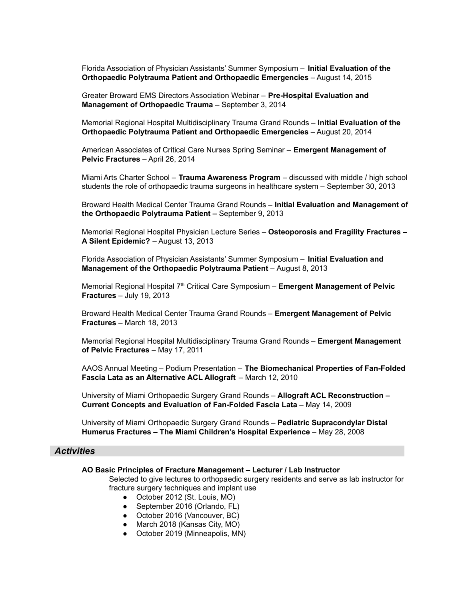Florida Association of Physician Assistants' Summer Symposium – **Initial Evaluation of the Orthopaedic Polytrauma Patient and Orthopaedic Emergencies** – August 14, 2015

Greater Broward EMS Directors Association Webinar – **Pre-Hospital Evaluation and Management of Orthopaedic Trauma** – September 3, 2014

Memorial Regional Hospital Multidisciplinary Trauma Grand Rounds – **Initial Evaluation of the Orthopaedic Polytrauma Patient and Orthopaedic Emergencies** – August 20, 2014

American Associates of Critical Care Nurses Spring Seminar – **Emergent Management of Pelvic Fractures** – April 26, 2014

Miami Arts Charter School – **Trauma Awareness Program** – discussed with middle / high school students the role of orthopaedic trauma surgeons in healthcare system – September 30, 2013

Broward Health Medical Center Trauma Grand Rounds – **Initial Evaluation and Management of the Orthopaedic Polytrauma Patient –** September 9, 2013

Memorial Regional Hospital Physician Lecture Series – **Osteoporosis and Fragility Fractures – A Silent Epidemic?** – August 13, 2013

Florida Association of Physician Assistants' Summer Symposium – **Initial Evaluation and Management of the Orthopaedic Polytrauma Patient** – August 8, 2013

Memorial Regional Hospital 7<sup>th</sup> Critical Care Symposium – **Emergent Management of Pelvic Fractures** – July 19, 2013

Broward Health Medical Center Trauma Grand Rounds – **Emergent Management of Pelvic Fractures** – March 18, 2013

Memorial Regional Hospital Multidisciplinary Trauma Grand Rounds – **Emergent Management of Pelvic Fractures** – May 17, 2011

AAOS Annual Meeting – Podium Presentation – **The Biomechanical Properties of Fan-Folded Fascia Lata as an Alternative ACL Allograft** – March 12, 2010

University of Miami Orthopaedic Surgery Grand Rounds – **Allograft ACL Reconstruction – Current Concepts and Evaluation of Fan-Folded Fascia Lata** – May 14, 2009

University of Miami Orthopaedic Surgery Grand Rounds – **Pediatric Supracondylar Distal Humerus Fractures – The Miami Children's Hospital Experience** – May 28, 2008

# *Activities*

#### **AO Basic Principles of Fracture Management – Lecturer / Lab Instructor**

Selected to give lectures to orthopaedic surgery residents and serve as lab instructor for fracture surgery techniques and implant use

- October 2012 (St. Louis, MO)
- September 2016 (Orlando, FL)
- October 2016 (Vancouver, BC)
- March 2018 (Kansas City, MO)
- October 2019 (Minneapolis, MN)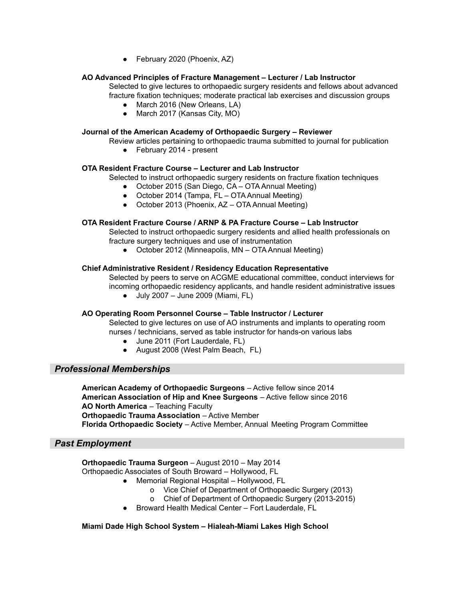● February 2020 (Phoenix, AZ)

## **AO Advanced Principles of Fracture Management – Lecturer / Lab Instructor**

Selected to give lectures to orthopaedic surgery residents and fellows about advanced fracture fixation techniques; moderate practical lab exercises and discussion groups

- March 2016 (New Orleans, LA)
- March 2017 (Kansas City, MO)

#### **Journal of the American Academy of Orthopaedic Surgery – Reviewer**

Review articles pertaining to orthopaedic trauma submitted to journal for publication

● February 2014 - present

#### **OTA Resident Fracture Course – Lecturer and Lab Instructor**

Selected to instruct orthopaedic surgery residents on fracture fixation techniques

- October 2015 (San Diego, CA OTA Annual Meeting)
- October 2014 (Tampa, FL OTA Annual Meeting)
- October 2013 (Phoenix, AZ OTA Annual Meeting)

#### **OTA Resident Fracture Course / ARNP & PA Fracture Course – Lab Instructor**

Selected to instruct orthopaedic surgery residents and allied health professionals on fracture surgery techniques and use of instrumentation

● October 2012 (Minneapolis, MN – OTA Annual Meeting)

#### **Chief Administrative Resident / Residency Education Representative**

Selected by peers to serve on ACGME educational committee, conduct interviews for incoming orthopaedic residency applicants, and handle resident administrative issues

 $\bullet$  July 2007 – June 2009 (Miami, FL)

#### **AO Operating Room Personnel Course – Table Instructor / Lecturer**

Selected to give lectures on use of AO instruments and implants to operating room nurses / technicians, served as table instructor for hands-on various labs

- June 2011 (Fort Lauderdale, FL)
- August 2008 (West Palm Beach, FL)

## *Professional Memberships*

**American Academy of Orthopaedic Surgeons** – Active fellow since 2014 **American Association of Hip and Knee Surgeons** – Active fellow since 2016 **AO North America** – Teaching Faculty **Orthopaedic Trauma Association** – Active Member **Florida Orthopaedic Society** – Active Member, Annual Meeting Program Committee

## *Past Employment*

**Orthopaedic Trauma Surgeon** – August 2010 – May 2014 Orthopaedic Associates of South Broward – Hollywood, FL

- Memorial Regional Hospital Hollywood, FL
	- o Vice Chief of Department of Orthopaedic Surgery (2013)
	- o Chief of Department of Orthopaedic Surgery (2013-2015)
- Broward Health Medical Center Fort Lauderdale, FL

#### **Miami Dade High School System – Hialeah-Miami Lakes High School**